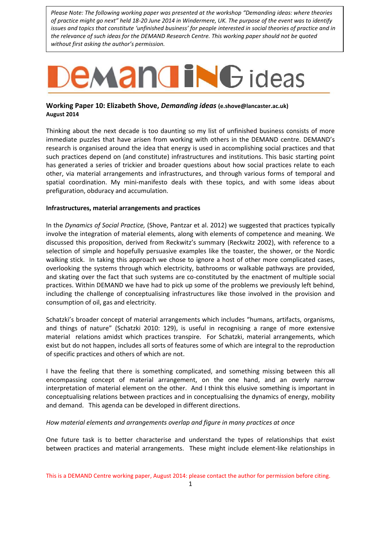*Please Note: The following working paper was presented at the workshop "Demanding ideas: where theories of practice might go next" held 18-20 June 2014 in Windermere, UK. The purpose of the event was to identify issues and topics that constitute 'unfinished business' for people interested in social theories of practice and in the relevance of such ideas for the DEMAND Research Centre. This working paper should not be quoted without first asking the author's permission.*

# **EMANGING** ideas

# **Working Paper 10: Elizabeth Shove,** *Demanding ideas* **(e.shove@lancaster.ac.uk) August 2014**

Thinking about the next decade is too daunting so my list of unfinished business consists of more immediate puzzles that have arisen from working with others in the DEMAND centre. DEMAND's research is organised around the idea that energy is used in accomplishing social practices and that such practices depend on (and constitute) infrastructures and institutions. This basic starting point has generated a series of trickier and broader questions about how social practices relate to each other, via material arrangements and infrastructures, and through various forms of temporal and spatial coordination. My mini-manifesto deals with these topics, and with some ideas about prefiguration, obduracy and accumulation.

## **Infrastructures, material arrangements and practices**

In the *Dynamics of Social Practice,* (Shove, Pantzar et al. 2012) we suggested that practices typically involve the integration of material elements, along with elements of competence and meaning. We discussed this proposition, derived from Reckwitz's summary (Reckwitz 2002), with reference to a selection of simple and hopefully persuasive examples like the toaster, the shower, or the Nordic walking stick. In taking this approach we chose to ignore a host of other more complicated cases, overlooking the systems through which electricity, bathrooms or walkable pathways are provided, and skating over the fact that such systems are co-constituted by the enactment of multiple social practices. Within DEMAND we have had to pick up some of the problems we previously left behind, including the challenge of conceptualising infrastructures like those involved in the provision and consumption of oil, gas and electricity.

Schatzki's broader concept of material arrangements which includes "humans, artifacts, organisms, and things of nature" (Schatzki 2010: 129), is useful in recognising a range of more extensive material relations amidst which practices transpire. For Schatzki, material arrangements, which exist but do not happen, includes all sorts of features some of which are integral to the reproduction of specific practices and others of which are not.

I have the feeling that there is something complicated, and something missing between this all encompassing concept of material arrangement, on the one hand, and an overly narrow interpretation of material element on the other. And I think this elusive something is important in conceptualising relations between practices and in conceptualising the dynamics of energy, mobility and demand. This agenda can be developed in different directions.

## *How material elements and arrangements overlap and figure in many practices at once*

One future task is to better characterise and understand the types of relationships that exist between practices and material arrangements. These might include element-like relationships in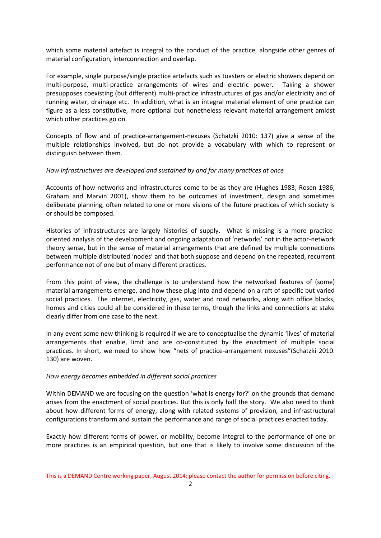which some material artefact is integral to the conduct of the practice, alongside other genres of material configuration, interconnection and overlap.

For example, single purpose/single practice artefacts such as toasters or electric showers depend on multi-purpose, multi-practice arrangements of wires and electric power. Taking a shower presupposes coexisting (but different) multi-practice infrastructures of gas and/or electricity and of running water, drainage etc. In addition, what is an integral material element of one practice can figure as a less constitutive, more optional but nonetheless relevant material arrangement amidst which other practices go on.

Concepts of flow and of practice-arrangement-nexuses (Schatzki 2010: 137) give a sense of the multiple relationships involved, but do not provide a vocabulary with which to represent or distinguish between them.

## *How infrastructures are developed and sustained by and for many practices at once*

Accounts of how networks and infrastructures come to be as they are (Hughes 1983; Rosen 1986; Graham and Marvin 2001), show them to be outcomes of investment, design and sometimes deliberate planning, often related to one or more visions of the future practices of which society is or should be composed.

Histories of infrastructures are largely histories of supply. What is missing is a more practiceoriented analysis of the development and ongoing adaptation of 'networks' not in the actor-network theory sense, but in the sense of material arrangements that are defined by multiple connections between multiple distributed 'nodes' and that both suppose and depend on the repeated, recurrent performance not of one but of many different practices.

From this point of view, the challenge is to understand how the networked features of (some) material arrangements emerge, and how these plug into and depend on a raft of specific but varied social practices. The internet, electricity, gas, water and road networks, along with office blocks, homes and cities could all be considered in these terms, though the links and connections at stake clearly differ from one case to the next.

In any event some new thinking is required if we are to conceptualise the dynamic 'lives' of material arrangements that enable, limit and are co-constituted by the enactment of multiple social practices. In short, we need to show how "nets of practice-arrangement nexuses"(Schatzki 2010: 130) are woven.

#### *How energy becomes embedded in different social practices*

Within DEMAND we are focusing on the question 'what is energy for?' on the grounds that demand arises from the enactment of social practices. But this is only half the story. We also need to think about how different forms of energy, along with related systems of provision, and infrastructural configurations transform and sustain the performance and range of social practices enacted today.

Exactly how different forms of power, or mobility, become integral to the performance of one or more practices is an empirical question, but one that is likely to involve some discussion of the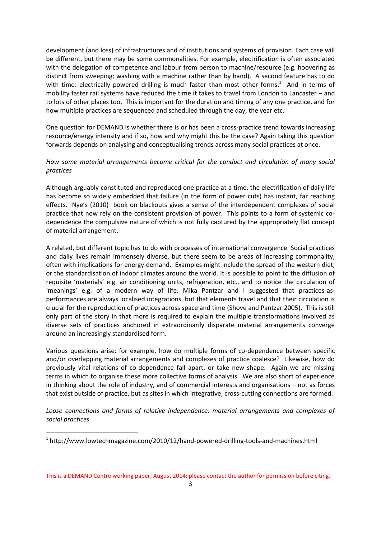development (and loss) of infrastructures and of institutions and systems of provision. Each case will be different, but there may be some commonalities. For example, electrification is often associated with the delegation of competence and labour from person to machine/resource (e.g. hoovering as distinct from sweeping; washing with a machine rather than by hand). A second feature has to do with time: electrically powered drilling is much faster than most other forms.<sup>1</sup> And in terms of mobility faster rail systems have reduced the time it takes to travel from London to Lancaster – and to lots of other places too. This is important for the duration and timing of any one practice, and for how multiple practices are sequenced and scheduled through the day, the year etc.

One question for DEMAND is whether there is or has been a cross-practice trend towards increasing resource/energy intensity and if so, how and why might this be the case? Again taking this question forwards depends on analysing and conceptualising trends across many social practices at once.

# *How some material arrangements become critical for the conduct and circulation of many social practices*

Although arguably constituted and reproduced one practice at a time, the electrification of daily life has become so widely embedded that failure (in the form of power cuts) has instant, far reaching effects. Nye's (2010) book on blackouts gives a sense of the interdependent complexes of social practice that now rely on the consistent provision of power. This points to a form of systemic codependence the compulsive nature of which is not fully captured by the appropriately flat concept of material arrangement.

A related, but different topic has to do with processes of international convergence. Social practices and daily lives remain immensely diverse, but there seem to be areas of increasing commonality, often with implications for energy demand. Examples might include the spread of the western diet, or the standardisation of indoor climates around the world. It is possible to point to the diffusion of requisite 'materials' e.g. air conditioning units, refrigeration, etc., and to notice the circulation of 'meanings' e.g. of a modern way of life. Mika Pantzar and I suggested that practices-asperformances are always localised integrations, but that elements travel and that their circulation is crucial for the reproduction of practices across space and time (Shove and Pantzar 2005). This is still only part of the story in that more is required to explain the multiple transformations involved as diverse sets of practices anchored in extraordinarily disparate material arrangements converge around an increasingly standardised form.

Various questions arise: for example, how do multiple forms of co-dependence between specific and/or overlapping material arrangements and complexes of practice coalesce? Likewise, how do previously vital relations of co-dependence fall apart, or take new shape. Again we are missing terms in which to organise these more collective forms of analysis. We are also short of experience in thinking about the role of industry, and of commercial interests and organisations – not as forces that exist outside of practice, but as sites in which integrative, cross-cutting connections are formed.

*Loose connections and forms of relative independence: material arrangements and complexes of social practices*

-

This is a DEMAND Centre working paper, August 2014: please contact the author for permission before citing.

<sup>&</sup>lt;sup>1</sup> http://www.lowtechmagazine.com/2010/12/hand-powered-drilling-tools-and-machines.html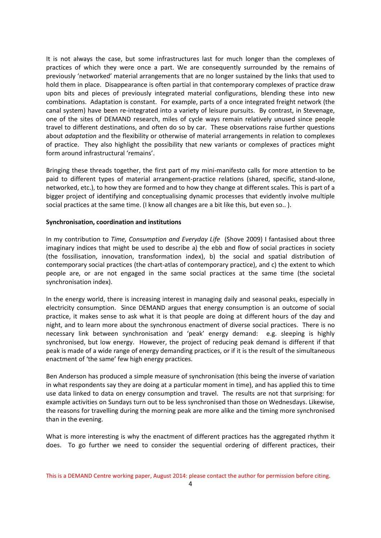It is not always the case, but some infrastructures last for much longer than the complexes of practices of which they were once a part. We are consequently surrounded by the remains of previously 'networked' material arrangements that are no longer sustained by the links that used to hold them in place. Disappearance is often partial in that contemporary complexes of practice draw upon bits and pieces of previously integrated material configurations, blending these into new combinations. Adaptation is constant. For example, parts of a once integrated freight network (the canal system) have been re-integrated into a variety of leisure pursuits. By contrast, in Stevenage, one of the sites of DEMAND research, miles of cycle ways remain relatively unused since people travel to different destinations, and often do so by car. These observations raise further questions about *adaptation* and the flexibility or otherwise of material arrangements in relation to complexes of practice. They also highlight the possibility that new variants or complexes of practices might form around infrastructural 'remains'.

Bringing these threads together, the first part of my mini-manifesto calls for more attention to be paid to different types of material arrangement-practice relations (shared, specific, stand-alone, networked, etc.), to how they are formed and to how they change at different scales. This is part of a bigger project of identifying and conceptualising dynamic processes that evidently involve multiple social practices at the same time. (I know all changes are a bit like this, but even so..).

## **Synchronisation, coordination and institutions**

In my contribution to *Time, Consumption and Everyday Life* (Shove 2009) I fantasised about three imaginary indices that might be used to describe a) the ebb and flow of social practices in society (the fossilisation, innovation, transformation index), b) the social and spatial distribution of contemporary social practices (the chart-atlas of contemporary practice), and c) the extent to which people are, or are not engaged in the same social practices at the same time (the societal synchronisation index).

In the energy world, there is increasing interest in managing daily and seasonal peaks, especially in electricity consumption. Since DEMAND argues that energy consumption is an outcome of social practice, it makes sense to ask what it is that people are doing at different hours of the day and night, and to learn more about the synchronous enactment of diverse social practices. There is no necessary link between synchronisation and 'peak' energy demand: e.g. sleeping is highly synchronised, but low energy. However, the project of reducing peak demand is different if that peak is made of a wide range of energy demanding practices, or if it is the result of the simultaneous enactment of 'the same' few high energy practices.

Ben Anderson has produced a simple measure of synchronisation (this being the inverse of variation in what respondents say they are doing at a particular moment in time), and has applied this to time use data linked to data on energy consumption and travel. The results are not that surprising: for example activities on Sundays turn out to be less synchronised than those on Wednesdays. Likewise, the reasons for travelling during the morning peak are more alike and the timing more synchronised than in the evening.

What is more interesting is why the enactment of different practices has the aggregated rhythm it does. To go further we need to consider the sequential ordering of different practices, their

This is a DEMAND Centre working paper, August 2014: please contact the author for permission before citing.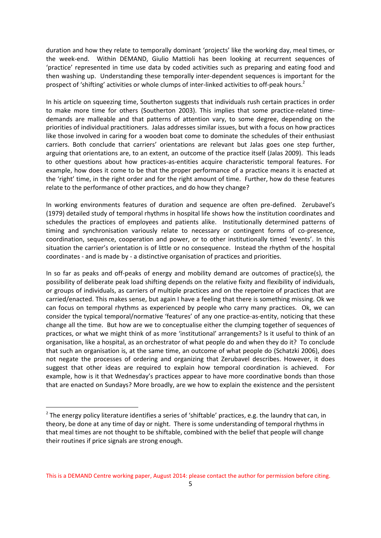duration and how they relate to temporally dominant 'projects' like the working day, meal times, or the week-end. Within DEMAND, Giulio Mattioli has been looking at recurrent sequences of 'practice' represented in time use data by coded activities such as preparing and eating food and then washing up. Understanding these temporally inter-dependent sequences is important for the prospect of 'shifting' activities or whole clumps of inter-linked activities to off-peak hours.<sup>2</sup>

In his article on squeezing time, Southerton suggests that individuals rush certain practices in order to make more time for others (Southerton 2003). This implies that some practice-related timedemands are malleable and that patterns of attention vary, to some degree, depending on the priorities of individual practitioners. Jalas addresses similar issues, but with a focus on how practices like those involved in caring for a wooden boat come to dominate the schedules of their enthusiast carriers. Both conclude that carriers' orientations are relevant but Jalas goes one step further, arguing that orientations are, to an extent, an outcome of the practice itself (Jalas 2009). This leads to other questions about how practices-as-entities acquire characteristic temporal features. For example, how does it come to be that the proper performance of a practice means it is enacted at the 'right' time, in the right order and for the right amount of time. Further, how do these features relate to the performance of other practices, and do how they change?

In working environments features of duration and sequence are often pre-defined. Zerubavel's (1979) detailed study of temporal rhythms in hospital life shows how the institution coordinates and schedules the practices of employees and patients alike. Institutionally determined patterns of timing and synchronisation variously relate to necessary or contingent forms of co-presence, coordination, sequence, cooperation and power, or to other institutionally timed 'events'. In this situation the carrier's orientation is of little or no consequence. Instead the rhythm of the hospital coordinates - and is made by - a distinctive organisation of practices and priorities.

In so far as peaks and off-peaks of energy and mobility demand are outcomes of practice(s), the possibility of deliberate peak load shifting depends on the relative fixity and flexibility of individuals, or groups of individuals, as carriers of multiple practices and on the repertoire of practices that are carried/enacted. This makes sense, but again I have a feeling that there is something missing. Ok we can focus on temporal rhythms as experienced by people who carry many practices. Ok, we can consider the typical temporal/normative 'features' of any one practice-as-entity, noticing that these change all the time. But how are we to conceptualise either the clumping together of sequences of practices, or what we might think of as more 'institutional' arrangements? Is it useful to think of an organisation, like a hospital, as an orchestrator of what people do and when they do it? To conclude that such an organisation is, at the same time, an outcome of what people do (Schatzki 2006), does not negate the processes of ordering and organizing that Zerubavel describes. However, it does suggest that other ideas are required to explain how temporal coordination is achieved. For example, how is it that Wednesday's practices appear to have more coordinative bonds than those that are enacted on Sundays? More broadly, are we how to explain the existence and the persistent

-

 $2$  The energy policy literature identifies a series of 'shiftable' practices, e.g. the laundry that can, in theory, be done at any time of day or night. There is some understanding of temporal rhythms in that meal times are not thought to be shiftable, combined with the belief that people will change their routines if price signals are strong enough.

This is a DEMAND Centre working paper, August 2014: please contact the author for permission before citing.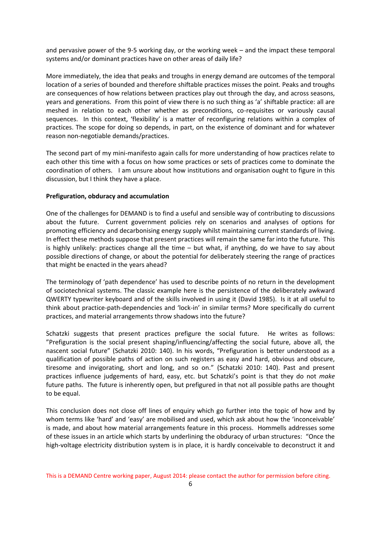and pervasive power of the 9-5 working day, or the working week – and the impact these temporal systems and/or dominant practices have on other areas of daily life?

More immediately, the idea that peaks and troughs in energy demand are outcomes of the temporal location of a series of bounded and therefore shiftable practices misses the point. Peaks and troughs are consequences of how relations between practices play out through the day, and across seasons, years and generations. From this point of view there is no such thing as 'a' shiftable practice: all are meshed in relation to each other whether as preconditions, co-requisites or variously causal sequences. In this context, 'flexibility' is a matter of reconfiguring relations within a complex of practices. The scope for doing so depends, in part, on the existence of dominant and for whatever reason non-negotiable demands/practices.

The second part of my mini-manifesto again calls for more understanding of how practices relate to each other this time with a focus on how some practices or sets of practices come to dominate the coordination of others. I am unsure about how institutions and organisation ought to figure in this discussion, but I think they have a place.

#### **Prefiguration, obduracy and accumulation**

One of the challenges for DEMAND is to find a useful and sensible way of contributing to discussions about the future. Current government policies rely on scenarios and analyses of options for promoting efficiency and decarbonising energy supply whilst maintaining current standards of living. In effect these methods suppose that present practices will remain the same far into the future. This is highly unlikely: practices change all the time – but what, if anything, do we have to say about possible directions of change, or about the potential for deliberately steering the range of practices that might be enacted in the years ahead?

The terminology of 'path dependence' has used to describe points of no return in the development of sociotechnical systems. The classic example here is the persistence of the deliberately awkward QWERTY typewriter keyboard and of the skills involved in using it (David 1985). Is it at all useful to think about practice-path-dependencies and 'lock-in' in similar terms? More specifically do current practices, and material arrangements throw shadows into the future?

Schatzki suggests that present practices prefigure the social future. He writes as follows: "Prefiguration is the social present shaping/influencing/affecting the social future, above all, the nascent social future" (Schatzki 2010: 140). In his words, "Prefiguration is better understood as a qualification of possible paths of action on such registers as easy and hard, obvious and obscure, tiresome and invigorating, short and long, and so on." (Schatzki 2010: 140). Past and present practices influence judgements of hard, easy, etc. but Schatzki's point is that they do not *make* future paths. The future is inherently open, but prefigured in that not all possible paths are thought to be equal.

This conclusion does not close off lines of enquiry which go further into the topic of how and by whom terms like 'hard' and 'easy' are mobilised and used, which ask about how the 'inconceivable' is made, and about how material arrangements feature in this process. Hommells addresses some of these issues in an article which starts by underlining the obduracy of urban structures: "Once the high-voltage electricity distribution system is in place, it is hardly conceivable to deconstruct it and

This is a DEMAND Centre working paper, August 2014: please contact the author for permission before citing.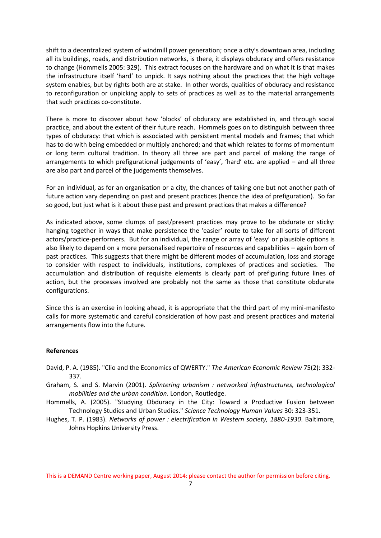shift to a decentralized system of windmill power generation; once a city's downtown area, including all its buildings, roads, and distribution networks, is there, it displays obduracy and offers resistance to change (Hommells 2005: 329). This extract focuses on the hardware and on what it is that makes the infrastructure itself 'hard' to unpick. It says nothing about the practices that the high voltage system enables, but by rights both are at stake. In other words, qualities of obduracy and resistance to reconfiguration or unpicking apply to sets of practices as well as to the material arrangements that such practices co-constitute.

There is more to discover about how 'blocks' of obduracy are established in, and through social practice, and about the extent of their future reach. Hommels goes on to distinguish between three types of obduracy: that which is associated with persistent mental models and frames; that which has to do with being embedded or multiply anchored; and that which relates to forms of momentum or long term cultural tradition. In theory all three are part and parcel of making the range of arrangements to which prefigurational judgements of 'easy', 'hard' etc. are applied – and all three are also part and parcel of the judgements themselves.

For an individual, as for an organisation or a city, the chances of taking one but not another path of future action vary depending on past and present practices (hence the idea of prefiguration). So far so good, but just what is it about these past and present practices that makes a difference?

As indicated above, some clumps of past/present practices may prove to be obdurate or sticky: hanging together in ways that make persistence the 'easier' route to take for all sorts of different actors/practice-performers. But for an individual, the range or array of 'easy' or plausible options is also likely to depend on a more personalised repertoire of resources and capabilities – again born of past practices. This suggests that there might be different modes of accumulation, loss and storage to consider with respect to individuals, institutions, complexes of practices and societies. The accumulation and distribution of requisite elements is clearly part of prefiguring future lines of action, but the processes involved are probably not the same as those that constitute obdurate configurations.

Since this is an exercise in looking ahead, it is appropriate that the third part of my mini-manifesto calls for more systematic and careful consideration of how past and present practices and material arrangements flow into the future.

#### **References**

- David, P. A. (1985). "Clio and the Economics of QWERTY." *The American Economic Review* 75(2): 332- 337.
- Graham, S. and S. Marvin (2001). *Splintering urbanism : networked infrastructures, technological mobilities and the urban condition*. London, Routledge.
- Hommells, A. (2005). "Studying Obduracy in the City: Toward a Productive Fusion between Technology Studies and Urban Studies." *Science Technology Human Values* 30: 323-351.
- Hughes, T. P. (1983). *Networks of power : electrification in Western society, 1880-1930*. Baltimore, Johns Hopkins University Press.

This is a DEMAND Centre working paper, August 2014: please contact the author for permission before citing.